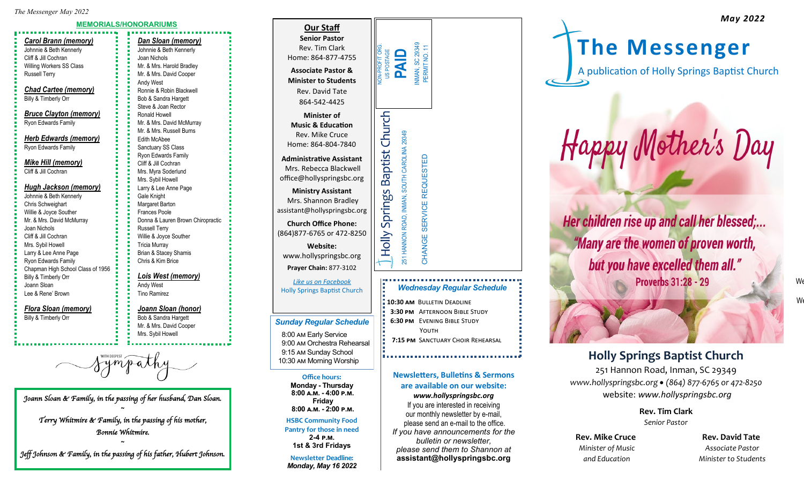#### **MEMORIALS/HONORARIUMS**

### *Carol Brann (memory)* Johnnie & Beth Kennerly Cliff & Jill Cochran

Willing Workers SS Class Russell Terry

*Chad Cartee (memory)* Billy & Timberly Orr

*Bruce Clayton (memory)* Ryon Edwards Family

*Herb Edwards (memory)* Ryon Edwards Family

*Mike Hill (memory)* Cliff & Jill Cochran

#### *Hugh Jackson (memory)* Johnnie & Beth Kennerly Chris Schweighart Willie & Joyce Souther Mr. & Mrs. David McMurray Joan Nichols Cliff & Jill Cochran Mrs. Sybil Howell Larry & Lee Anne Page Ryon Edwards Family Chapman High School Class of 1956 Billy & Timberly Orr Joann Sloan

Lee & Rene' Brown

*Flora Sloan (memory)* Billy & Timberly Orr

Sympath

*Joann Sloan & Family, in the passing of her husband, Dan Sloan.*  **~**

*Terry Whitmire & Family, in the passing of his mother, Bonnie Whitmire.* 

**~** *Jeff Johnson & Family, in the passing of his father, Hubert Johnson.* 

| . .                                                                                       |  |  |  |
|-------------------------------------------------------------------------------------------|--|--|--|
| Dan Sloan (memory)                                                                        |  |  |  |
| 医血管性 医血管性 医骨髓 医骨髓 医骨髓 医骨髓 医骨髓 医骨髓 医血清性 医血清性 医血清性 医血管切除术 医血管切除术<br>Johnnie & Beth Kennerly |  |  |  |
| Joan Nichols                                                                              |  |  |  |
| Mr. & Mrs. Harold Bradley                                                                 |  |  |  |
| Mr. & Mrs. David Cooper                                                                   |  |  |  |
| <b>Andy West</b>                                                                          |  |  |  |
| Ronnie & Robin Blackwell                                                                  |  |  |  |
| Bob & Sandra Hargett                                                                      |  |  |  |
| Steve & Joan Rector                                                                       |  |  |  |
| Ronald Howell                                                                             |  |  |  |
| Mr. & Mrs. David McMurray                                                                 |  |  |  |
| Mr. & Mrs. Russell Burns                                                                  |  |  |  |
| <b>Edith McAbee</b>                                                                       |  |  |  |
| Sanctuary SS Class                                                                        |  |  |  |
| <b>Ryon Edwards Family</b>                                                                |  |  |  |
| Cliff & Jill Cochran                                                                      |  |  |  |
| Mrs. Myra Soderlund                                                                       |  |  |  |
| Mrs. Sybil Howell                                                                         |  |  |  |
| Larry & Lee Anne Page                                                                     |  |  |  |
| Gale Knight                                                                               |  |  |  |
| <b>Margaret Barton</b>                                                                    |  |  |  |
| <b>Frances Poole</b>                                                                      |  |  |  |
| Donna & Lauren Brown Chiropractic                                                         |  |  |  |
| <b>Russell Terry</b>                                                                      |  |  |  |
| Willie & Joyce Souther                                                                    |  |  |  |
| <b>Tricia Murray</b>                                                                      |  |  |  |
| Brian & Stacey Shamis                                                                     |  |  |  |
| Chris & Kim Brice                                                                         |  |  |  |
|                                                                                           |  |  |  |
| <b>Lois West (memory)</b>                                                                 |  |  |  |

Andy West

Tino Ramirez

### *Joann Sloan (honor)* Bob & Sandra Hargett

Mr. & Mrs. David Cooper Mrs. Sybil Howell

| <b>Our Staff</b><br><b>Senior Pastor</b><br>Rev. Tim Clark<br>Home: 864-877-4755<br><b>Associate Pastor &amp;</b>                                                                     | INMAN, SC 29349<br>PERMIT NO. 11<br>NON-PROFIT OR<br>US POSTAGE<br><b>QINd</b> |  |
|---------------------------------------------------------------------------------------------------------------------------------------------------------------------------------------|--------------------------------------------------------------------------------|--|
| <b>Minister to Students</b><br>Rev. David Tate<br>864-542-4425                                                                                                                        |                                                                                |  |
| <b>Minister of</b><br><b>Music &amp; Education</b><br>Rev. Mike Cruce<br>Home: 864-804-7840<br><b>Administrative Assistant</b><br>Mrs. Rebecca Blackwell<br>office@hollyspringsbc.org | olly Springs Baptist Church                                                    |  |
| <b>Ministry Assistant</b><br>Mrs. Shannon Bradley<br>ssistant@hollyspringsbc.org                                                                                                      |                                                                                |  |
| <b>Church Office Phone:</b><br>864)877-6765 or 472-8250<br><b>Website:</b><br>www.hollyspringsbc.org<br>Prayer Chain: 877-3102                                                        | 251 HANNON ROAD, INMAN, SOUTH CAROLINA 29349<br>CHANGE SERVICE REQUESTED       |  |
| Like us on Facebook<br><b>Holly Springs Baptist Church</b>                                                                                                                            | <b>Wednesday Regular Sci</b>                                                   |  |

Mrs. R  $office@$ **Min** Mrs. S assistant(

(864) 877

**Office hours: Monday - Thursday 8:00 a.m. - 4:00 p.m. Friday 8:00 a.m. - 2:00 p.m. HSBC Community Food Pantry for those in need 2-4 p.m. 1st & 3rd Fridays Newsletter Deadline:**  *Monday, May 16 2022*

*Sunday Regular Schedule* 8:00 am Early Service 9:00 am Orchestra Rehearsal 9:15 am Sunday School

......... *Wednesday Regular Schedule*

- **10:30 am** Bulletin Deadline  **3:30 pm** Afternoon Bible Study  **6:30 pm** Evening Bible Study YOUTH
- **7:15 PM** SANCTUARY CHOIR REHEARSAL

### **Newsletters, Bulletins & Sermons are available on our website:**

*www.hollyspringsbc.org* If you are interested in receiving our monthly newsletter by e-mail, please send an e-mail to the office. *If you have announcements for the bulletin or newsletter, please send them to Shannon at* **assistant@hollyspringsbc.org**

**The Messenger**

A publication of Holly Springs Baptist Church

*"He has risen; He is not here!"* 

Happy Mother's Day

Her children rise up and call her blessed;...

"Many are the women of proven worth,

but you have excelled them all."

**Proverbs 31:28 - 29** 

# 9:15 am Sunday School **Property Church** 10:30 am Morning Worship **Holly Springs Baptist Church**

251 Hannon Road, Inman, SC 29349 *www.hollyspringsbc.org* • *(864) 877-6765 or 472-8250* website: *www.hollyspringsbc.org*

> **Rev. Tim Clark** *Senior Pastor*

**Rev. Mike Cruce Cruce Rev. David Tate** *Minister of Music Associate Pastor*

 *and Education Minister to Students* 

 $\mathsf{W}\epsilon$ We